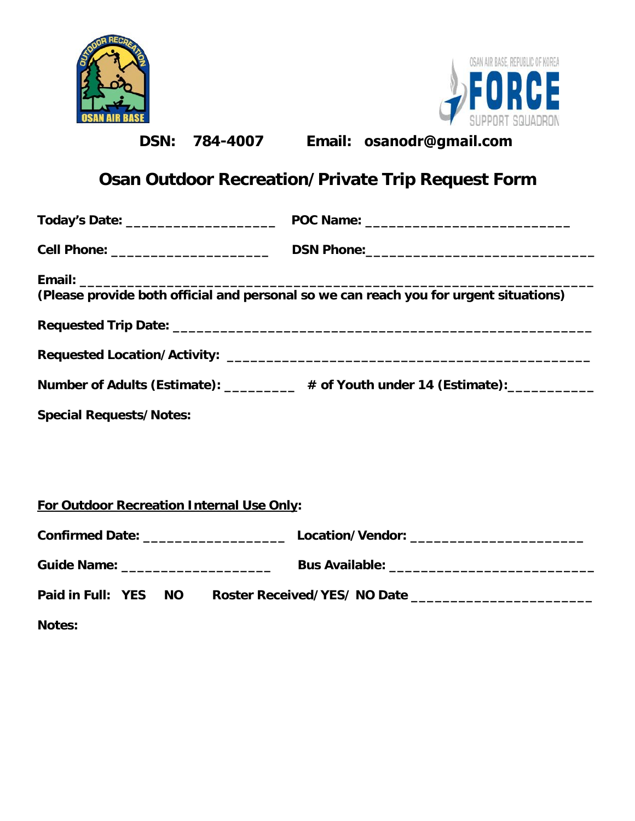| <b>DSN:</b><br>78 <b>4-4007</b>                                                                                                                                                                                                | Email: osanodr@gmail.com                                                         |
|--------------------------------------------------------------------------------------------------------------------------------------------------------------------------------------------------------------------------------|----------------------------------------------------------------------------------|
| <b>Osan Outdoor Recreation/Private Trip Request Form</b>                                                                                                                                                                       |                                                                                  |
|                                                                                                                                                                                                                                |                                                                                  |
|                                                                                                                                                                                                                                |                                                                                  |
| Email: ________<br>(Please provide both official and personal so we can reach you for urgent situations)<br>Number of Adults (Estimate): _________ # of Youth under 14 (Estimate): _________<br><b>Special Requests/Notes:</b> |                                                                                  |
| For Outdoor Recreation Internal Use Only:                                                                                                                                                                                      |                                                                                  |
|                                                                                                                                                                                                                                |                                                                                  |
|                                                                                                                                                                                                                                |                                                                                  |
| <b>Notes:</b>                                                                                                                                                                                                                  | Paid in Full: YES NO Roster Received/YES/NO Date _______________________________ |